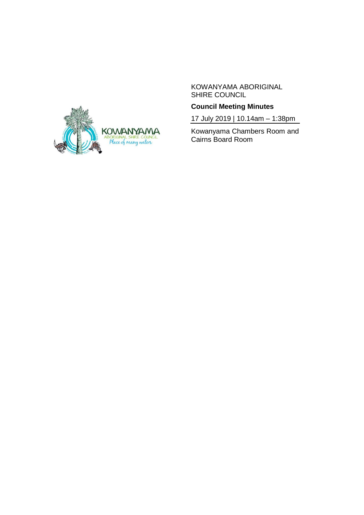

## KOWANYAMA ABORIGINAL SHIRE COUNCIL

# **Council Meeting Minutes**

17 July 2019 | 10.14am – 1:38pm

Kowanyama Chambers Room and Cairns Board Room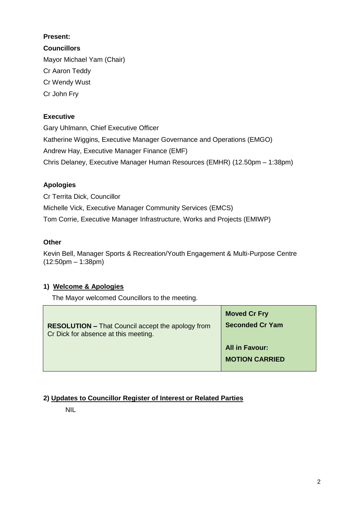# **Present:**

**Councillors** Mayor Michael Yam (Chair) Cr Aaron Teddy Cr Wendy Wust Cr John Fry

# **Executive**

Gary Uhlmann, Chief Executive Officer Katherine Wiggins, Executive Manager Governance and Operations (EMGO) Andrew Hay, Executive Manager Finance (EMF) Chris Delaney, Executive Manager Human Resources (EMHR) (12.50pm – 1:38pm)

# **Apologies**

Cr Territa Dick, Councillor Michelle Vick, Executive Manager Community Services (EMCS) Tom Corrie, Executive Manager Infrastructure, Works and Projects (EMIWP)

# **Other**

Kevin Bell, Manager Sports & Recreation/Youth Engagement & Multi-Purpose Centre (12:50pm – 1:38pm)

# **1) Welcome & Apologies**

The Mayor welcomed Councillors to the meeting.

| <b>RESOLUTION - That Council accept the apology from</b> | <b>Moved Cr Fry</b>                            |
|----------------------------------------------------------|------------------------------------------------|
| Cr Dick for absence at this meeting.                     | <b>Seconded Cr Yam</b>                         |
|                                                          | <b>All in Favour:</b><br><b>MOTION CARRIED</b> |

# **2) Updates to Councillor Register of Interest or Related Parties**

NIL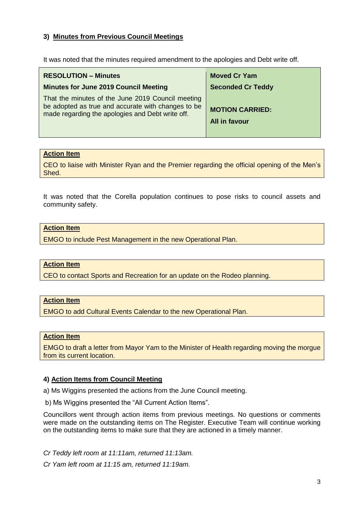## **3) Minutes from Previous Council Meetings**

It was noted that the minutes required amendment to the apologies and Debt write off.

| <b>RESOLUTION - Minutes</b>                                                                                                                                 | <b>Moved Cr Yam</b>                            |
|-------------------------------------------------------------------------------------------------------------------------------------------------------------|------------------------------------------------|
| <b>Minutes for June 2019 Council Meeting</b>                                                                                                                | <b>Seconded Cr Teddy</b>                       |
| That the minutes of the June 2019 Council meeting<br>be adopted as true and accurate with changes to be<br>made regarding the apologies and Debt write off. | <b>MOTION CARRIED:</b><br><b>All in favour</b> |

#### **Action Item**

CEO to liaise with Minister Ryan and the Premier regarding the official opening of the Men's Shed.

It was noted that the Corella population continues to pose risks to council assets and community safety.

### **Action Item**

EMGO to include Pest Management in the new Operational Plan.

### **Action Item**

CEO to contact Sports and Recreation for an update on the Rodeo planning.

#### **Action Item**

EMGO to add Cultural Events Calendar to the new Operational Plan.

#### **Action Item**

EMGO to draft a letter from Mayor Yam to the Minister of Health regarding moving the morgue from its current location.

### **4) Action Items from Council Meeting**

a) Ms Wiggins presented the actions from the June Council meeting.

b) Ms Wiggins presented the "All Current Action Items".

Councillors went through action items from previous meetings. No questions or comments were made on the outstanding items on The Register. Executive Team will continue working on the outstanding items to make sure that they are actioned in a timely manner.

*Cr Teddy left room at 11:11am, returned 11:13am.*

*Cr Yam left room at 11:15 am, returned 11:19am.*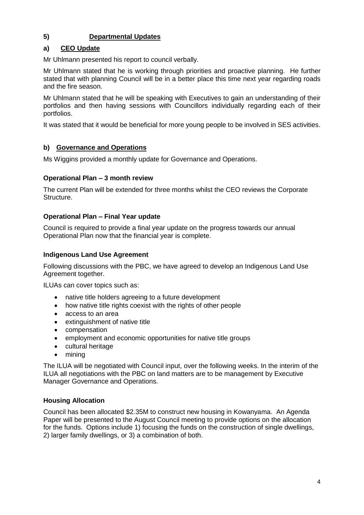# **5) Departmental Updates**

## **a) CEO Update**

Mr Uhlmann presented his report to council verbally.

Mr Uhlmann stated that he is working through priorities and proactive planning. He further stated that with planning Council will be in a better place this time next year regarding roads and the fire season.

Mr Uhlmann stated that he will be speaking with Executives to gain an understanding of their portfolios and then having sessions with Councillors individually regarding each of their portfolios.

It was stated that it would be beneficial for more young people to be involved in SES activities.

## **b) Governance and Operations**

Ms Wiggins provided a monthly update for Governance and Operations.

## **Operational Plan – 3 month review**

The current Plan will be extended for three months whilst the CEO reviews the Corporate Structure.

## **Operational Plan – Final Year update**

Council is required to provide a final year update on the progress towards our annual Operational Plan now that the financial year is complete.

## **Indigenous Land Use Agreement**

Following discussions with the PBC, we have agreed to develop an Indigenous Land Use Agreement together.

ILUAs can cover topics such as:

- native title holders agreeing to a future development
- how native title rights coexist with the rights of other people
- access to an area
- extinguishment of native title
- compensation
- employment and economic opportunities for native title groups
- cultural heritage
- mining

The ILUA will be negotiated with Council input, over the following weeks. In the interim of the ILUA all negotiations with the PBC on land matters are to be management by Executive Manager Governance and Operations.

### **Housing Allocation**

Council has been allocated \$2.35M to construct new housing in Kowanyama. An Agenda Paper will be presented to the August Council meeting to provide options on the allocation for the funds. Options include 1) focusing the funds on the construction of single dwellings, 2) larger family dwellings, or 3) a combination of both.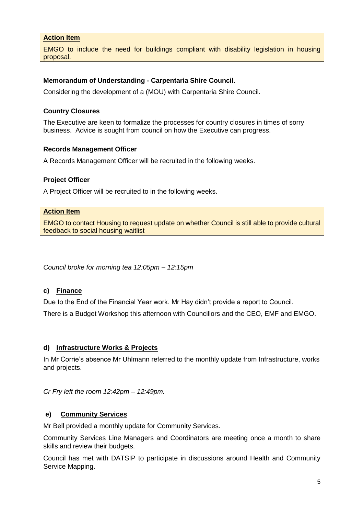## **Action Item**

EMGO to include the need for buildings compliant with disability legislation in housing proposal.

### **Memorandum of Understanding - Carpentaria Shire Council.**

Considering the development of a (MOU) with Carpentaria Shire Council.

#### **Country Closures**

The Executive are keen to formalize the processes for country closures in times of sorry business. Advice is sought from council on how the Executive can progress.

#### **Records Management Officer**

A Records Management Officer will be recruited in the following weeks.

#### **Project Officer**

A Project Officer will be recruited to in the following weeks.

#### **Action Item**

EMGO to contact Housing to request update on whether Council is still able to provide cultural feedback to social housing waitlist

*Council broke for morning tea 12:05pm – 12:15pm*

### **c) Finance**

Due to the End of the Financial Year work. Mr Hay didn't provide a report to Council.

There is a Budget Workshop this afternoon with Councillors and the CEO, EMF and EMGO.

#### **d) Infrastructure Works & Projects**

In Mr Corrie's absence Mr Uhlmann referred to the monthly update from Infrastructure, works and projects.

*Cr Fry left the room 12:42pm – 12:49pm.*

### **e) Community Services**

Mr Bell provided a monthly update for Community Services.

Community Services Line Managers and Coordinators are meeting once a month to share skills and review their budgets.

Council has met with DATSIP to participate in discussions around Health and Community Service Mapping.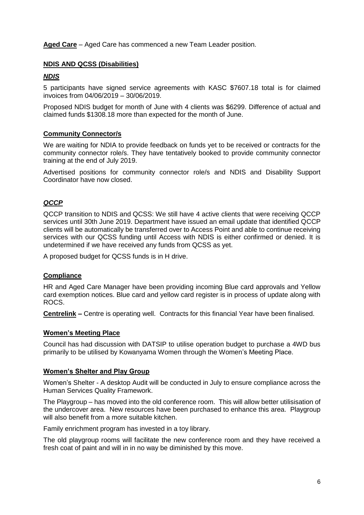**Aged Care** – Aged Care has commenced a new Team Leader position.

## **NDIS AND QCSS (Disabilities)**

### *NDIS*

5 participants have signed service agreements with KASC \$7607.18 total is for claimed invoices from 04/06/2019 – 30/06/2019.

Proposed NDIS budget for month of June with 4 clients was \$6299. Difference of actual and claimed funds \$1308.18 more than expected for the month of June.

### **Community Connector/s**

We are waiting for NDIA to provide feedback on funds yet to be received or contracts for the community connector role/s. They have tentatively booked to provide community connector training at the end of July 2019.

Advertised positions for community connector role/s and NDIS and Disability Support Coordinator have now closed.

# *QCCP*

QCCP transition to NDIS and QCSS: We still have 4 active clients that were receiving QCCP services until 30th June 2019. Department have issued an email update that identified QCCP clients will be automatically be transferred over to Access Point and able to continue receiving services with our QCSS funding until Access with NDIS is either confirmed or denied. It is undetermined if we have received any funds from QCSS as yet.

A proposed budget for QCSS funds is in H drive.

### **Compliance**

HR and Aged Care Manager have been providing incoming Blue card approvals and Yellow card exemption notices. Blue card and yellow card register is in process of update along with ROCS.

**Centrelink –** Centre is operating well. Contracts for this financial Year have been finalised.

### **Women's Meeting Place**

Council has had discussion with DATSIP to utilise operation budget to purchase a 4WD bus primarily to be utilised by Kowanyama Women through the Women's Meeting Place.

### **Women's Shelter and Play Group**

Women's Shelter - A desktop Audit will be conducted in July to ensure compliance across the Human Services Quality Framework.

The Playgroup – has moved into the old conference room. This will allow better utilisisation of the undercover area. New resources have been purchased to enhance this area. Playgroup will also benefit from a more suitable kitchen.

Family enrichment program has invested in a toy library.

The old playgroup rooms will facilitate the new conference room and they have received a fresh coat of paint and will in in no way be diminished by this move.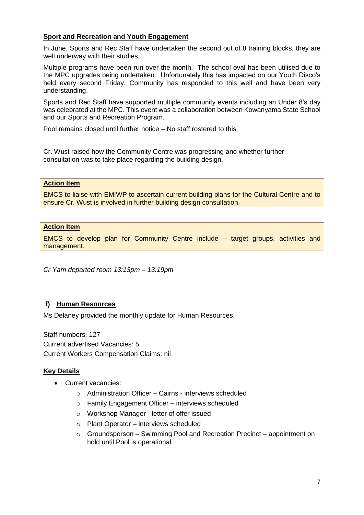## **Sport and Recreation and Youth Engagement**

In June, Sports and Rec Staff have undertaken the second out of 8 training blocks, they are well underway with their studies.

Multiple programs have been run over the month. The school oval has been utilised due to the MPC upgrades being undertaken. Unfortunately this has impacted on our Youth Disco's held every second Friday. Community has responded to this well and have been very understanding.

Sports and Rec Staff have supported multiple community events including an Under 8's day was celebrated at the MPC. This event was a collaboration between Kowanyama State School and our Sports and Recreation Program.

Pool remains closed until further notice – No staff rostered to this.

Cr. Wust raised how the Community Centre was progressing and whether further consultation was to take place regarding the building design.

#### **Action Item**

EMCS to liaise with EMIWP to ascertain current building plans for the Cultural Centre and to ensure Cr. Wust is involved in further building design consultation.

#### **Action Item**

EMCS to develop plan for Community Centre include – target groups, activities and management.

*Cr Yam departed room 13:13pm – 13:19pm*

### **f) Human Resources**

Ms Delaney provided the monthly update for Human Resources.

Staff numbers: 127 Current advertised Vacancies: 5 Current Workers Compensation Claims: nil

### **Key Details**

- Current vacancies:
	- o Administration Officer Cairns interviews scheduled
	- o Family Engagement Officer interviews scheduled
	- o Workshop Manager letter of offer issued
	- o Plant Operator interviews scheduled
	- o Groundsperson Swimming Pool and Recreation Precinct appointment on hold until Pool is operational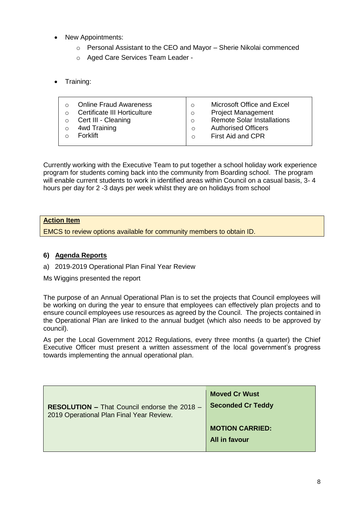- New Appointments:
	- o Personal Assistant to the CEO and Mayor Sherie Nikolai commenced
	- o Aged Care Services Team Leader -
- Training:

| <b>Online Fraud Awareness</b><br>Certificate III Horticulture<br>Cert III - Cleaning<br>4wd Training<br><b>Forklift</b> | Microsoft Office and Excel<br>$\circ$<br><b>Project Management</b><br>$\circ$<br><b>Remote Solar Installations</b><br>$\circ$<br><b>Authorised Officers</b><br>$\circ$<br>First Aid and CPR<br>$\Omega$ |
|-------------------------------------------------------------------------------------------------------------------------|---------------------------------------------------------------------------------------------------------------------------------------------------------------------------------------------------------|
|-------------------------------------------------------------------------------------------------------------------------|---------------------------------------------------------------------------------------------------------------------------------------------------------------------------------------------------------|

Currently working with the Executive Team to put together a school holiday work experience program for students coming back into the community from Boarding school. The program will enable current students to work in identified areas within Council on a casual basis, 3- 4 hours per day for 2 -3 days per week whilst they are on holidays from school

## **Action Item**

EMCS to review options available for community members to obtain ID.

#### **6) Agenda Reports**

a) 2019-2019 Operational Plan Final Year Review

Ms Wiggins presented the report

The purpose of an Annual Operational Plan is to set the projects that Council employees will be working on during the year to ensure that employees can effectively plan projects and to ensure council employees use resources as agreed by the Council. The projects contained in the Operational Plan are linked to the annual budget (which also needs to be approved by council).

As per the Local Government 2012 Regulations, every three months (a quarter) the Chief Executive Officer must present a written assessment of the local government's progress towards implementing the annual operational plan.

| RESOLUTION - That Council endorse the 2018 - | <b>Moved Cr Wust</b>                    |
|----------------------------------------------|-----------------------------------------|
| 2019 Operational Plan Final Year Review.     | <b>Seconded Cr Teddy</b>                |
|                                              | <b>MOTION CARRIED:</b><br>All in favour |